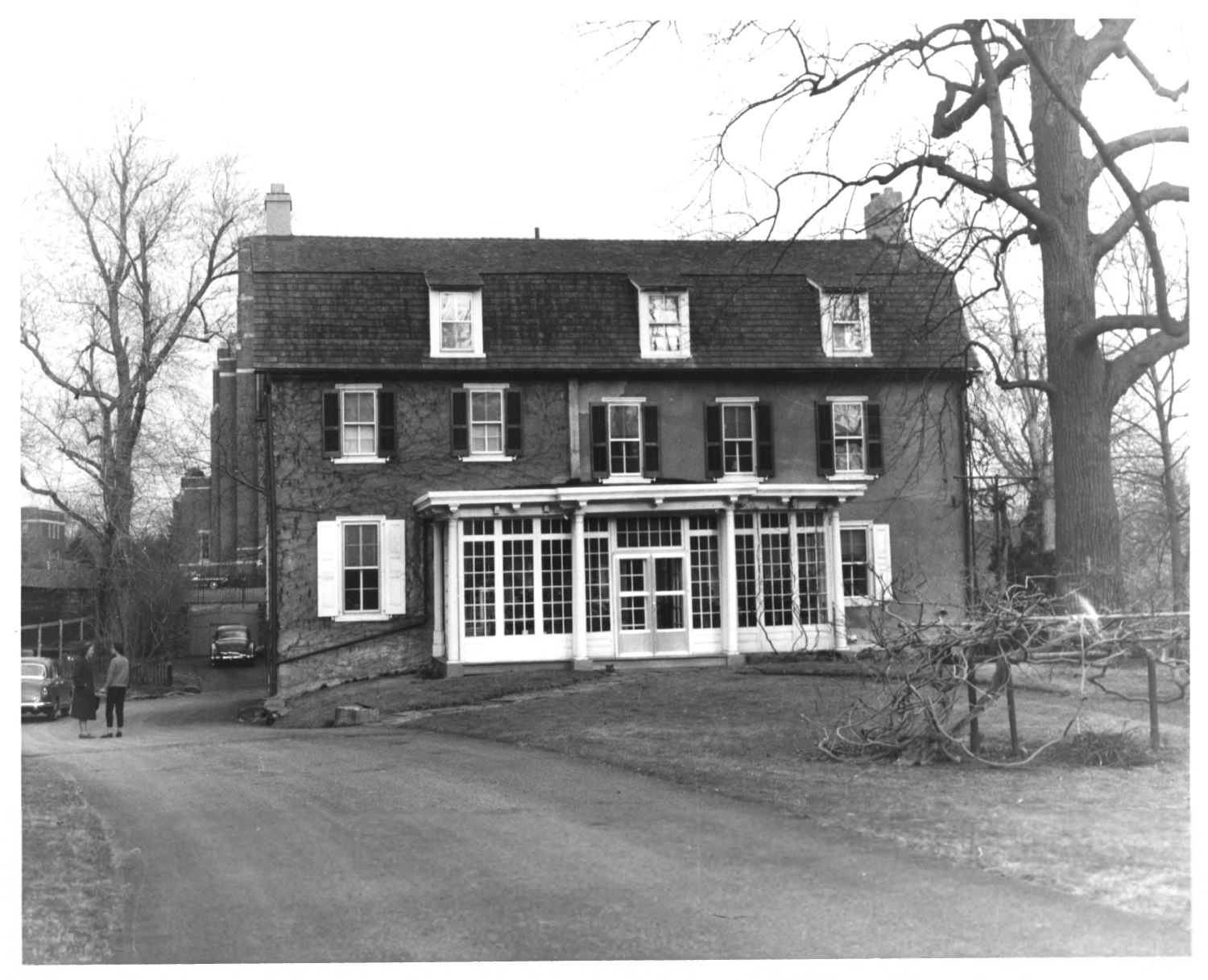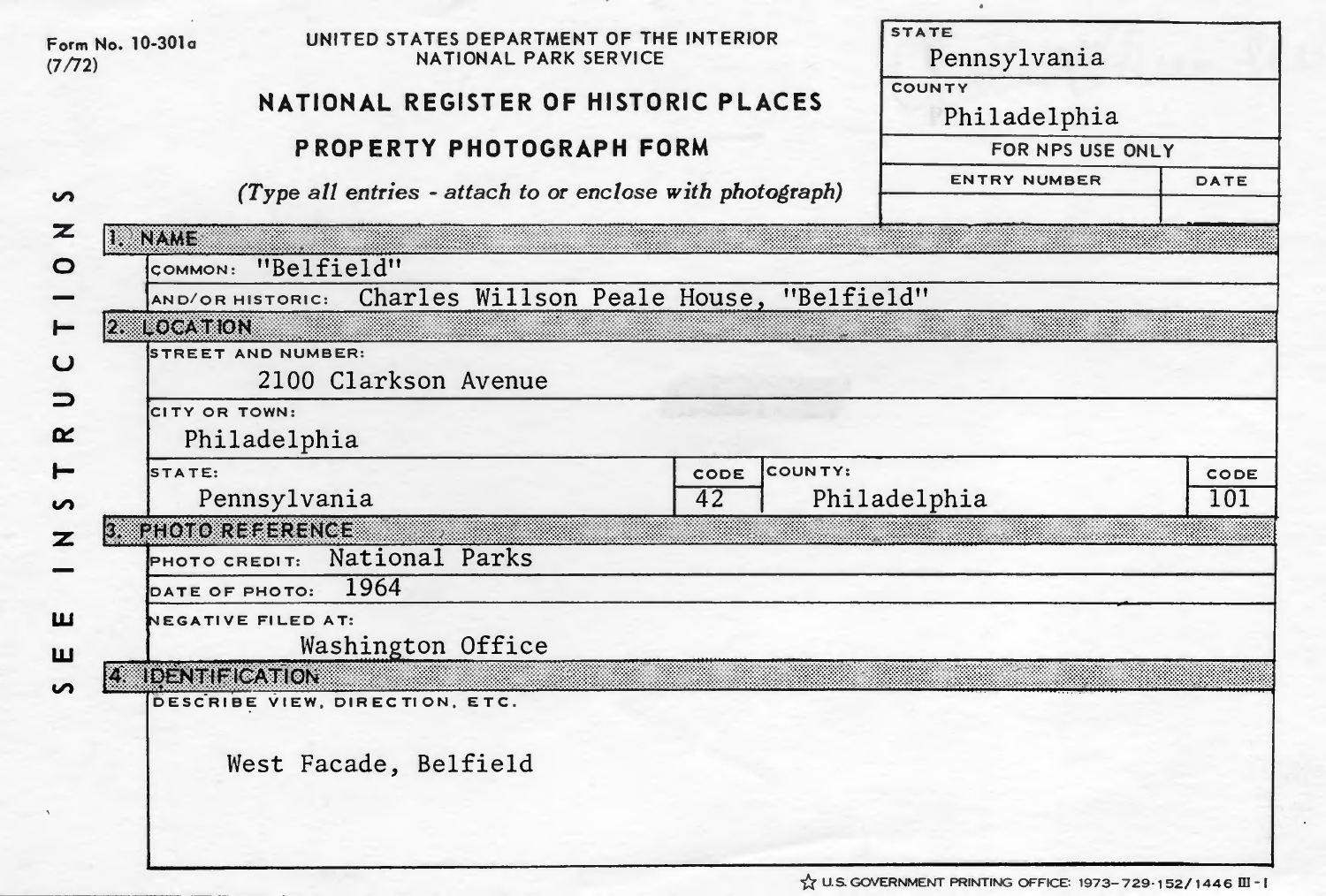| Form No. 10-301a<br>(7/72) |                                                                                                                         | UNITED STATES DEPARTMENT OF THE INTERIOR<br>NATIONAL PARK SERVICE<br>NATIONAL REGISTER OF HISTORIC PLACES |  |                                       | <b>STATE</b><br>Pennsylvania<br>COUNTY<br>Philadelphia |      |  |  |  |  |
|----------------------------|-------------------------------------------------------------------------------------------------------------------------|-----------------------------------------------------------------------------------------------------------|--|---------------------------------------|--------------------------------------------------------|------|--|--|--|--|
|                            |                                                                                                                         | <b>PROPERTY PHOTOGRAPH FORM</b>                                                                           |  |                                       | FOR NPS USE ONLY                                       |      |  |  |  |  |
| $\sim$                     |                                                                                                                         | (Type all entries - attach to or enclose with photograph)                                                 |  |                                       | <b>ENTRY NUMBER</b>                                    | DATE |  |  |  |  |
| z                          | 1. NAME                                                                                                                 |                                                                                                           |  |                                       |                                                        |      |  |  |  |  |
| $\circ$                    |                                                                                                                         | COMMON: "Belfield"                                                                                        |  |                                       |                                                        |      |  |  |  |  |
|                            |                                                                                                                         | AND/OR HISTORIC: Charles Willson Peale House, "Belfield"                                                  |  |                                       |                                                        |      |  |  |  |  |
|                            |                                                                                                                         | 2. LOCATION                                                                                               |  |                                       |                                                        |      |  |  |  |  |
| $\mathbf C$                |                                                                                                                         | STREET AND NUMBER:<br>2100 Clarkson Avenue                                                                |  |                                       |                                                        |      |  |  |  |  |
| $\Rightarrow$<br>$\alpha$  | CITY OR TOWN:<br>Philadelphia                                                                                           |                                                                                                           |  |                                       |                                                        |      |  |  |  |  |
| ⊢<br>S                     | STATE:<br>Pennsylvania                                                                                                  |                                                                                                           |  | COUNTY:<br>CODE<br>Philadelphia<br>42 |                                                        |      |  |  |  |  |
| Z                          | 3. PHOTO REFERENCE<br>PHOTO CREDIT: National Parks<br>1964<br>DATE OF PHOTO:<br>NEGATIVE FILED AT:<br>Washington Office |                                                                                                           |  |                                       |                                                        |      |  |  |  |  |
| ш<br>ш                     |                                                                                                                         |                                                                                                           |  |                                       |                                                        |      |  |  |  |  |
|                            | <b>4. IDENTIFICATION</b><br>DESCRIBE VIEW, DIRECTION, ETC.<br>West Facade, Belfield                                     |                                                                                                           |  |                                       |                                                        |      |  |  |  |  |
|                            |                                                                                                                         |                                                                                                           |  |                                       |                                                        |      |  |  |  |  |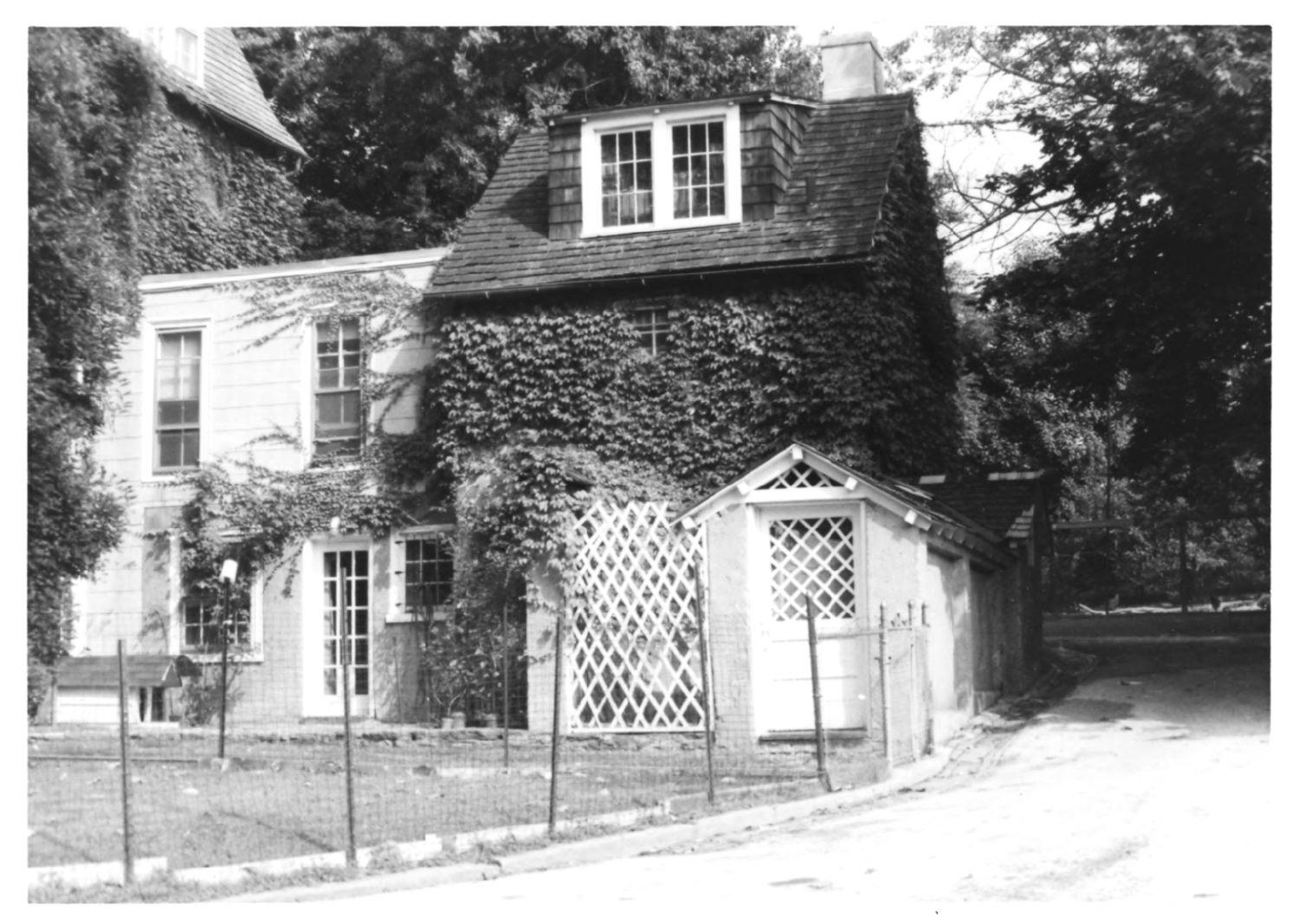